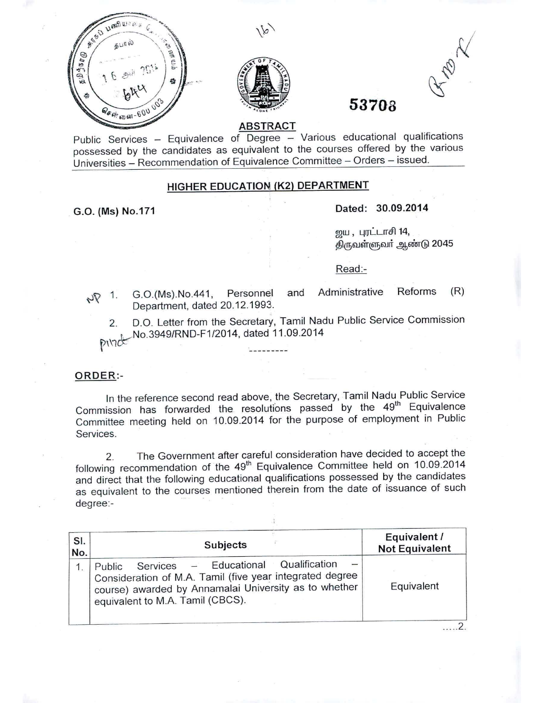





# **53708**

## **ABSTRACT**

Public Services - Equivalence of Degree - Various educational qualifications possessed by the candidates as equivalent to the courses offered by the various Universities - Recommendation of Equivalence Committee - Orders - issued.

### **HIGHER EDUCATION (K2) DEPARTMENT**

# G.O. **(Ms) NO.171 Dated: 30.09.2014**

றுய, புரட்டாசி 14, திருவள்ளுவர் ஆண்டு 2045

Read:-

Department, dated 20.12.1993.

 $\sqrt{V}$  1. G.O.(Ms).No.441, Personnel and Administrative Reforms (R)

2. D.O. Letter from the Secretary, Tamil Nadu Public Service Commission V\\1kNO.3949/RN D-F*1/2014,* d~~~~\_1\_~~09.2014

#### ORDER:-

In the reference second read above, the Secretary, Tamil Nadu Public Service Commission has forwarded the resolutions passed by the 49<sup>th</sup> Equivalence Committee meeting held on 10.09.2014 for the purpose of employment in Public Services.

2. The Government after careful consideration have decided to accept the following recommendation of the 49<sup>th</sup> Equivalence Committee held on 10.09.2014 and direct that the following educational qualifications possessed by the candidates as equivalent to the courses mentioned therein from the date of issuance of such degree:- -

| SI.<br>No. | <b>Subjects</b>                                                                                                                                                                                          | Equivalent /<br><b>Not Equivalent</b> |
|------------|----------------------------------------------------------------------------------------------------------------------------------------------------------------------------------------------------------|---------------------------------------|
|            | Educational Qualification<br>Services<br>Public<br>Consideration of M.A. Tamil (five year integrated degree<br>course) awarded by Annamalai University as to whether<br>equivalent to M.A. Tamil (CBCS). | Equivalent                            |

..... 2.